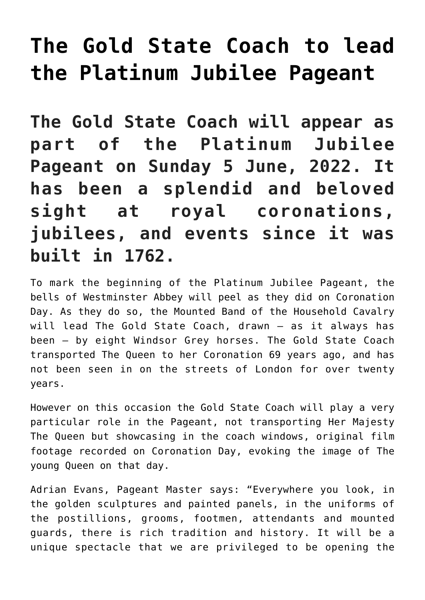## **[The Gold State Coach to lead](http://mumsru.de/2022/05/20/the-gold-state-coach/) [the Platinum Jubilee Pageant](http://mumsru.de/2022/05/20/the-gold-state-coach/)**

**The Gold State Coach will appear as part of the Platinum Jubilee Pageant on Sunday 5 June, 2022. It has been a splendid and beloved sight at royal coronations, jubilees, and events since it was built in 1762.**

To mark the beginning of the Platinum Jubilee Pageant, the bells of Westminster Abbey will peel as they did on Coronation Day. As they do so, the Mounted Band of the Household Cavalry will lead The Gold State Coach, drawn – as it always has been – by eight Windsor Grey horses. The Gold State Coach transported The Queen to her Coronation 69 years ago, and has not been seen in on the streets of London for over twenty years.

However on this occasion the Gold State Coach will play a very particular role in the Pageant, not transporting Her Majesty The Queen but showcasing in the coach windows, original film footage recorded on Coronation Day, evoking the image of The young Queen on that day.

Adrian Evans, Pageant Master says: "Everywhere you look, in the golden sculptures and painted panels, in the uniforms of the postillions, grooms, footmen, attendants and mounted guards, there is rich tradition and history. It will be a unique spectacle that we are privileged to be opening the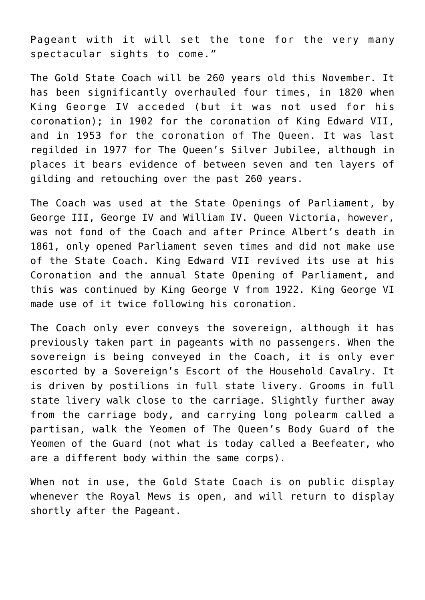Pageant with it will set the tone for the very many spectacular sights to come."

The Gold State Coach will be 260 years old this November. It has been significantly overhauled four times, in 1820 when King George IV acceded (but it was not used for his coronation); in 1902 for the coronation of King Edward VII, and in 1953 for the coronation of The Queen. It was last regilded in 1977 for The Queen's Silver Jubilee, although in places it bears evidence of between seven and ten layers of gilding and retouching over the past 260 years.

The Coach was used at the State Openings of Parliament, by George III, George IV and William IV. Queen Victoria, however, was not fond of the Coach and after Prince Albert's death in 1861, only opened Parliament seven times and did not make use of the State Coach. King Edward VII revived its use at his Coronation and the annual State Opening of Parliament, and this was continued by King George V from 1922. King George VI made use of it twice following his coronation.

The Coach only ever conveys the sovereign, although it has previously taken part in pageants with no passengers. When the sovereign is being conveyed in the Coach, it is only ever escorted by a Sovereign's Escort of the Household Cavalry. It is driven by postilions in full state livery. Grooms in full state livery walk close to the carriage. Slightly further away from the carriage body, and carrying long polearm called a partisan, walk the Yeomen of The Queen's Body Guard of the Yeomen of the Guard (not what is today called a Beefeater, who are a different body within the same corps).

When not in use, the Gold State Coach is on public display whenever the Royal Mews is open, and will return to display shortly after the Pageant.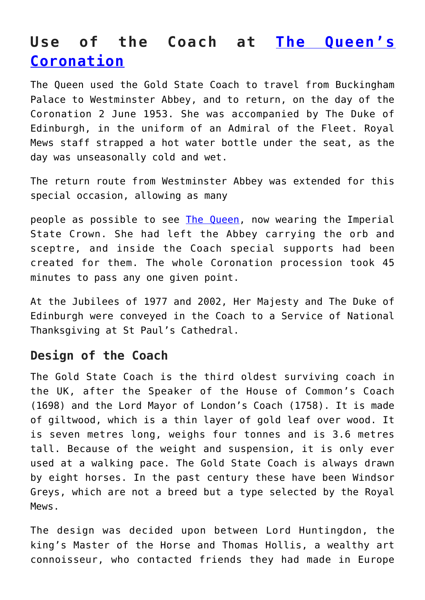## **Use of the Coach at [The Queen's](https://en.wikipedia.org/wiki/Coronation_of_Elizabeth_II) [Coronation](https://en.wikipedia.org/wiki/Coronation_of_Elizabeth_II)**

The Queen used the Gold State Coach to travel from Buckingham Palace to Westminster Abbey, and to return, on the day of the Coronation 2 June 1953. She was accompanied by The Duke of Edinburgh, in the uniform of an Admiral of the Fleet. Royal Mews staff strapped a hot water bottle under the seat, as the day was unseasonally cold and wet.

The return route from Westminster Abbey was extended for this special occasion, allowing as many

people as possible to see [The Queen](http://mumsru.de/2021/03/15/the-queens-commonwealth-day/), now wearing the Imperial State Crown. She had left the Abbey carrying the orb and sceptre, and inside the Coach special supports had been created for them. The whole Coronation procession took 45 minutes to pass any one given point.

At the Jubilees of 1977 and 2002, Her Majesty and The Duke of Edinburgh were conveyed in the Coach to a Service of National Thanksgiving at St Paul's Cathedral.

## **Design of the Coach**

The Gold State Coach is the third oldest surviving coach in the UK, after the Speaker of the House of Common's Coach (1698) and the Lord Mayor of London's Coach (1758). It is made of giltwood, which is a thin layer of gold leaf over wood. It is seven metres long, weighs four tonnes and is 3.6 metres tall. Because of the weight and suspension, it is only ever used at a walking pace. The Gold State Coach is always drawn by eight horses. In the past century these have been Windsor Greys, which are not a breed but a type selected by the Royal Mews.

The design was decided upon between Lord Huntingdon, the king's Master of the Horse and Thomas Hollis, a wealthy art connoisseur, who contacted friends they had made in Europe